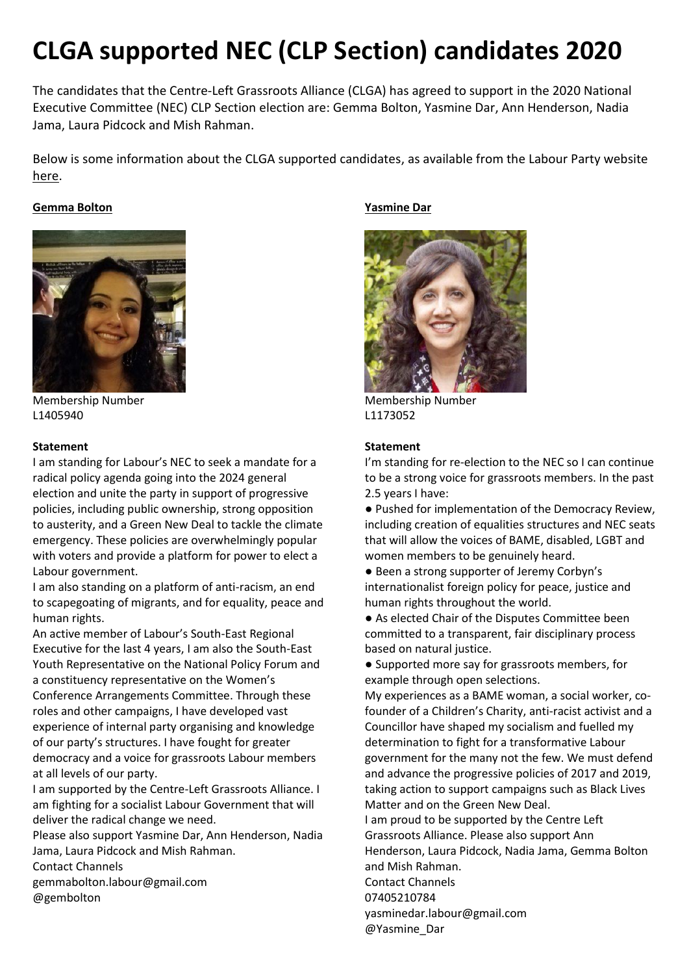# **CLGA supported NEC (CLP Section) candidates 2020**

The candidates that the Centre-Left Grassroots Alliance (CLGA) has agreed to support in the 2020 National Executive Committee (NEC) CLP Section election are: Gemma Bolton, Yasmine Dar, Ann Henderson, Nadia Jama, Laura Pidcock and Mish Rahman.

Below is some information about the CLGA supported candidates, as available from the Labour Party website [here.](https://labour.org.uk/activist-hub/governance-and-legal-hub/ballots-and-nominations/candidate-statements-2020/nec-clp-section-div-iii-statements/)

## **Gemma Bolton**



Membership Number L1405940

## **Statement**

I am standing for Labour's NEC to seek a mandate for a radical policy agenda going into the 2024 general election and unite the party in support of progressive policies, including public ownership, strong opposition to austerity, and a Green New Deal to tackle the climate emergency. These policies are overwhelmingly popular with voters and provide a platform for power to elect a Labour government.

I am also standing on a platform of anti-racism, an end to scapegoating of migrants, and for equality, peace and human rights.

An active member of Labour's South-East Regional Executive for the last 4 years, I am also the South-East Youth Representative on the National Policy Forum and a constituency representative on the Women's Conference Arrangements Committee. Through these roles and other campaigns, I have developed vast experience of internal party organising and knowledge of our party's structures. I have fought for greater democracy and a voice for grassroots Labour members at all levels of our party.

I am supported by the Centre-Left Grassroots Alliance. I am fighting for a socialist Labour Government that will deliver the radical change we need.

Please also support Yasmine Dar, Ann Henderson, Nadia Jama, Laura Pidcock and Mish Rahman. Contact Channels

gemmabolton.labour@gmail.com @gembolton

# **Yasmine Dar**



Membership Number L1173052

## **Statement**

@Yasmine\_Dar

I'm standing for re-election to the NEC so I can continue to be a strong voice for grassroots members. In the past 2.5 years I have:

- Pushed for implementation of the Democracy Review, including creation of equalities structures and NEC seats that will allow the voices of BAME, disabled, LGBT and women members to be genuinely heard.
- Been a strong supporter of Jeremy Corbyn's internationalist foreign policy for peace, justice and human rights throughout the world.
- As elected Chair of the Disputes Committee been committed to a transparent, fair disciplinary process based on natural justice.
- Supported more say for grassroots members, for example through open selections.

My experiences as a BAME woman, a social worker, cofounder of a Children's Charity, anti-racist activist and a Councillor have shaped my socialism and fuelled my determination to fight for a transformative Labour government for the many not the few. We must defend and advance the progressive policies of 2017 and 2019, taking action to support campaigns such as Black Lives Matter and on the Green New Deal.

I am proud to be supported by the Centre Left Grassroots Alliance. Please also support Ann Henderson, Laura Pidcock, Nadia Jama, Gemma Bolton and Mish Rahman. Contact Channels 07405210784 yasminedar.labour@gmail.com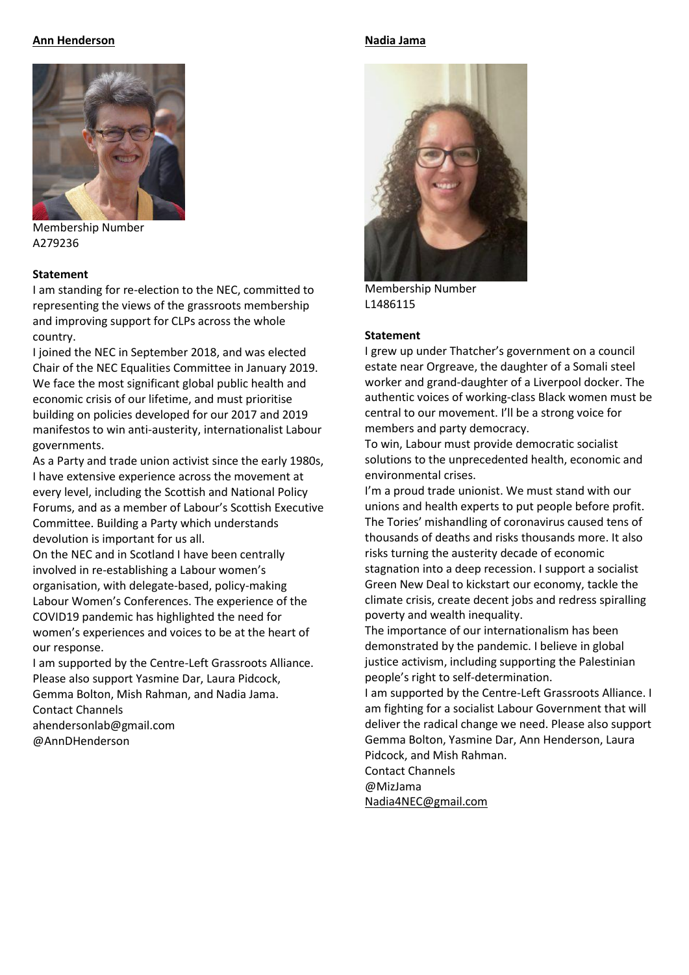## **Ann Henderson**



Membership Number A279236

## **Statement**

I am standing for re-election to the NEC, committed to representing the views of the grassroots membership and improving support for CLPs across the whole country.

I joined the NEC in September 2018, and was elected Chair of the NEC Equalities Committee in January 2019. We face the most significant global public health and economic crisis of our lifetime, and must prioritise building on policies developed for our 2017 and 2019 manifestos to win anti-austerity, internationalist Labour governments.

As a Party and trade union activist since the early 1980s, I have extensive experience across the movement at every level, including the Scottish and National Policy Forums, and as a member of Labour's Scottish Executive Committee. Building a Party which understands devolution is important for us all.

On the NEC and in Scotland I have been centrally involved in re-establishing a Labour women's organisation, with delegate-based, policy-making Labour Women's Conferences. The experience of the COVID19 pandemic has highlighted the need for women's experiences and voices to be at the heart of our response.

I am supported by the Centre-Left Grassroots Alliance. Please also support Yasmine Dar, Laura Pidcock, Gemma Bolton, Mish Rahman, and Nadia Jama. Contact Channels ahendersonlab@gmail.com @AnnDHenderson

#### **Nadia Jama**



Membership Number L1486115

#### **Statement**

I grew up under Thatcher's government on a council estate near Orgreave, the daughter of a Somali steel worker and grand-daughter of a Liverpool docker. The authentic voices of working-class Black women must be central to our movement. I'll be a strong voice for members and party democracy.

To win, Labour must provide democratic socialist solutions to the unprecedented health, economic and environmental crises.

I'm a proud trade unionist. We must stand with our unions and health experts to put people before profit. The Tories' mishandling of coronavirus caused tens of thousands of deaths and risks thousands more. It also risks turning the austerity decade of economic stagnation into a deep recession. I support a socialist Green New Deal to kickstart our economy, tackle the climate crisis, create decent jobs and redress spiralling poverty and wealth inequality.

The importance of our internationalism has been demonstrated by the pandemic. I believe in global justice activism, including supporting the Palestinian people's right to self-determination.

I am supported by the Centre-Left Grassroots Alliance. I am fighting for a socialist Labour Government that will deliver the radical change we need. Please also support Gemma Bolton, Yasmine Dar, Ann Henderson, Laura Pidcock, and Mish Rahman.

Contact Channels

@MizJama

[Nadia4NEC@gmail.com](mailto:Nadia4NEC@gmail.com)